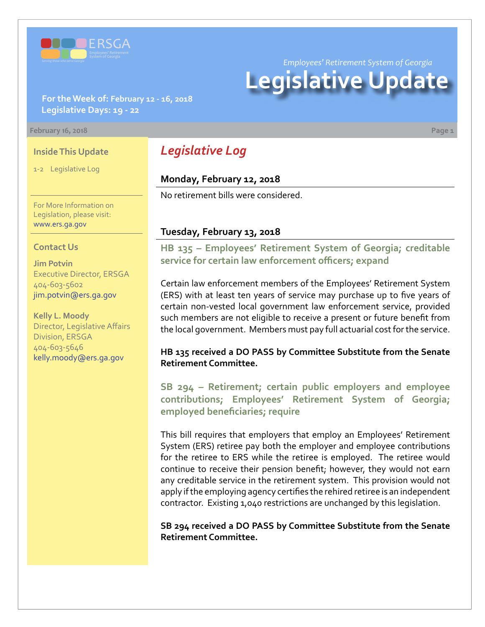

*Employees' Retirement System of Georgia*

# **Legislative Update**

#### **For the Week of: February 12 - 16, 2018 Legislative Days: 19 - 22**

#### **February 16, 2018 Page 1**

#### **Inside This Update**

1-2 Legislative Log

For More Information on Legislation, please visit: [www.ers.ga.gov](http://www.ers.ga.gov/)

#### **Contact Us**

**Jim Potvin** Executive Director, ERSGA 404-603-5602 jim.potvin@ers.ga.gov

**Kelly L. Moody** Director, Legislative Affairs Division, ERSGA 404-603-5646 kelly.moody@ers.ga.gov

# *Legislative Log*

## **Monday, February 12, 2018**

No retirement bills were considered.

#### **Tuesday, February 13, 2018**

**HB 135 [–](http://www.legis.ga.gov/legislation/en-US/Display/20172018/HB/135) Employees' Retirement System of Georgia; creditable service for certain law enforcement officers; expand**

Certain law enforcement members of the Employees' Retirement System (ERS) with at least ten years of service may purchase up to five years of certain non-vested local government law enforcement service, provided such members are not eligible to receive a present or future benefit from the local government. Members must pay full actuarial cost for the service.

#### **HB 135 received a DO PASS by Committee Substitute from the Senate Retirement Committee.**

**SB 294 [– R](http://www.legis.ga.gov/legislation/en-US/Display/20172018/SB/294)etirement; certain public employers and employee contributions; Employees' Retirement System of Georgia; employed beneficiaries; require**

This bill requires that employers that employ an Employees' Retirement System (ERS) retiree pay both the employer and employee contributions for the retiree to ERS while the retiree is employed. The retiree would continue to receive their pension benefit; however, they would not earn any creditable service in the retirement system. This provision would not apply if the employing agency certifies the rehired retiree is an independent contractor. Existing 1,040 restrictions are unchanged by this legislation.

**SB 294 received a DO PASS by Committee Substitute from the Senate Retirement Committee.**